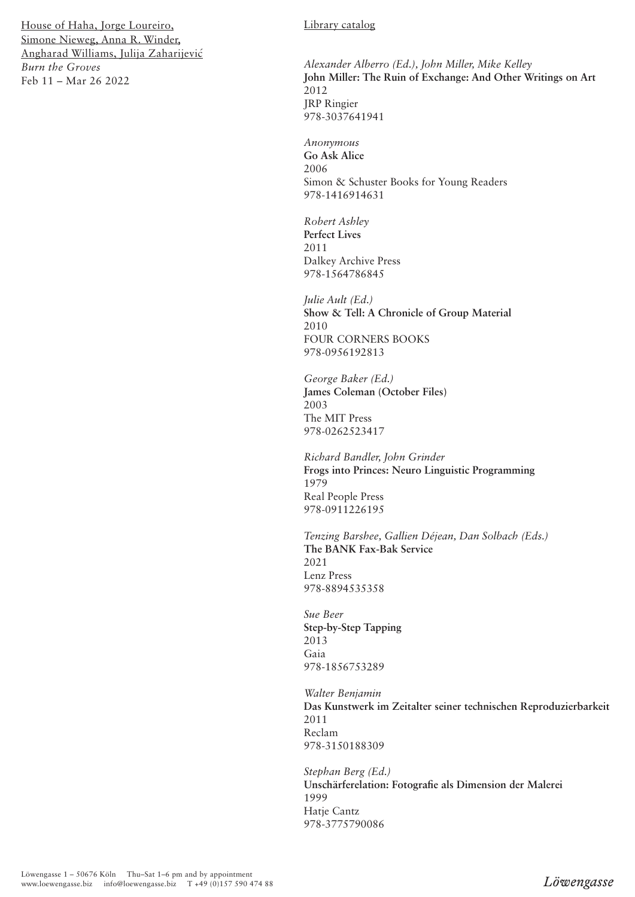#### Library catalog

*Alexander Alberro (Ed.), John Miller, Mike Kelley* **John Miller: The Ruin of Exchange: And Other Writings on Art** 2012 JRP Ringier 978-3037641941

*Anonymous* **Go Ask Alice** 2006 Simon & Schuster Books for Young Readers 978-1416914631

*Robert Ashley* **Perfect Lives** 2011 Dalkey Archive Press 978-1564786845

*Julie Ault (Ed.)* **Show & Tell: A Chronicle of Group Material** 2010 FOUR CORNERS BOOKS 978-0956192813

*George Baker (Ed.)* **James Coleman (October Files)** 2003 The MIT Press 978-0262523417

*Richard Bandler, John Grinder* **Frogs into Princes: Neuro Linguistic Programming** 1979 Real People Press 978-0911226195

*Tenzing Barshee, Gallien Déjean, Dan Solbach (Eds.)* **The BANK Fax-Bak Service** 2021 Lenz Press 978-8894535358

*Sue Beer* **Step-by-Step Tapping** 2013 Gaia 978-1856753289

*Walter Benjamin* **Das Kunstwerk im Zeitalter seiner technischen Reproduzierbarkeit** 2011 Reclam 978-3150188309

*Stephan Berg (Ed.)* **Unschärferelation: Fotografie als Dimension der Malerei** 1999 Hatje Cantz 978-3775790086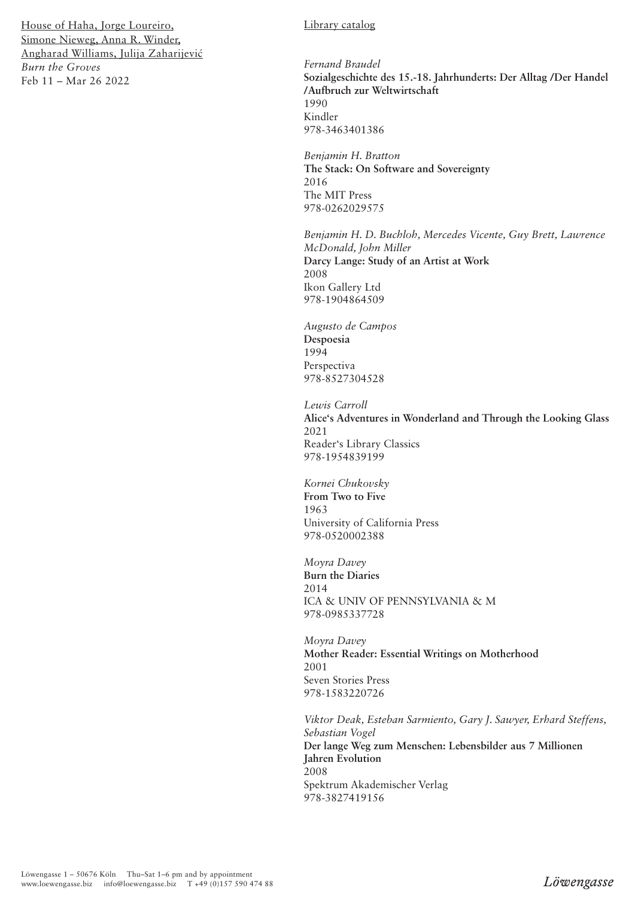### Library catalog

*Fernand Braudel* **Sozialgeschichte des 15.-18. Jahrhunderts: Der Alltag /Der Handel /Aufbruch zur Weltwirtschaft** 1990 Kindler 978-3463401386

*Benjamin H. Bratton* **The Stack: On Software and Sovereignty** 2016 The MIT Press 978-0262029575

*Benjamin H. D. Buchloh, Mercedes Vicente, Guy Brett, Lawrence McDonald, John Miller* **Darcy Lange: Study of an Artist at Work** 2008 Ikon Gallery Ltd 978-1904864509

*Augusto de Campos* **Despoesia** 1994 Perspectiva 978-8527304528

*Lewis Carroll* **Alice's Adventures in Wonderland and Through the Looking Glass** 2021 Reader's Library Classics 978-1954839199

*Kornei Chukovsky*  **From Two to Five** 1963 University of California Press 978-0520002388

*Moyra Davey* **Burn the Diaries** 2014 ICA & UNIV OF PENNSYLVANIA & M 978-0985337728

*Moyra Davey* **Mother Reader: Essential Writings on Motherhood** 2001 Seven Stories Press 978-1583220726

*Viktor Deak, Esteban Sarmiento, Gary J. Sawyer, Erhard Steffens, Sebastian Vogel* **Der lange Weg zum Menschen: Lebensbilder aus 7 Millionen Jahren Evolution** 2008 Spektrum Akademischer Verlag 978-3827419156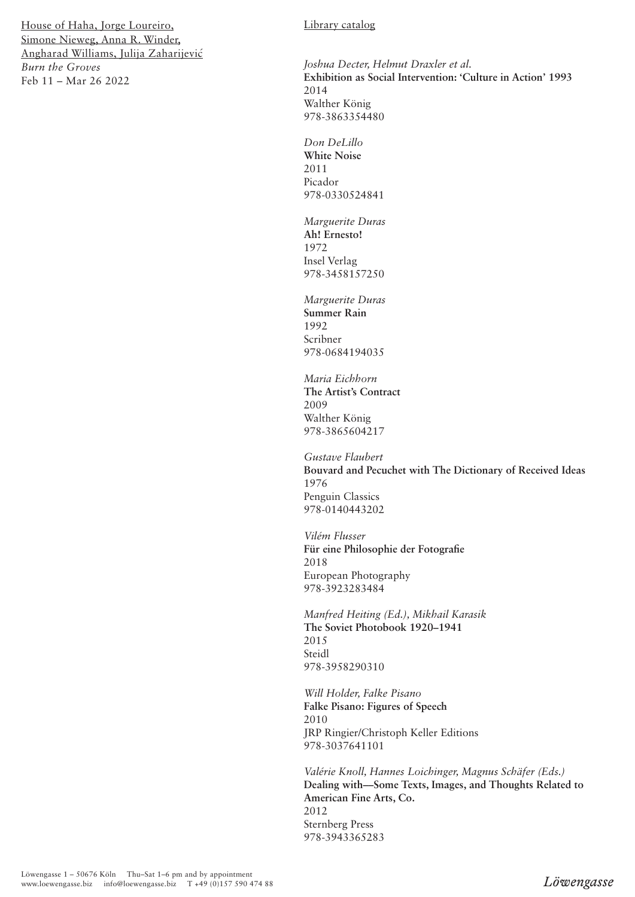### Library catalog

*Joshua Decter, Helmut Draxler et al.* **Exhibition as Social Intervention: 'Culture in Action' 1993** 2014 Walther König 978-3863354480

*Don DeLillo* **White Noise** 2011 Picador 978-0330524841

*Marguerite Duras* **Ah! Ernesto!** 1972 Insel Verlag 978-3458157250

*Marguerite Duras* **Summer Rain** 1992 Scribner 978-0684194035

*Maria Eichhorn* **The Artist's Contract** 2009 Walther König 978-3865604217

*Gustave Flaubert* **Bouvard and Pecuchet with The Dictionary of Received Ideas** 1976 Penguin Classics 978-0140443202

*Vilém Flusser* **Für eine Philosophie der Fotografie** 2018 European Photography 978-3923283484

*Manfred Heiting (Ed.), Mikhail Karasik* **The Soviet Photobook 1920–1941** 2015 Steidl 978-3958290310

*Will Holder, Falke Pisano* **Falke Pisano: Figures of Speech** 2010 JRP Ringier/Christoph Keller Editions 978-3037641101

*Valérie Knoll, Hannes Loichinger, Magnus Schäfer (Eds.)* **Dealing with––Some Texts, Images, and Thoughts Related to American Fine Arts, Co.** 2012 Sternberg Press 978-3943365283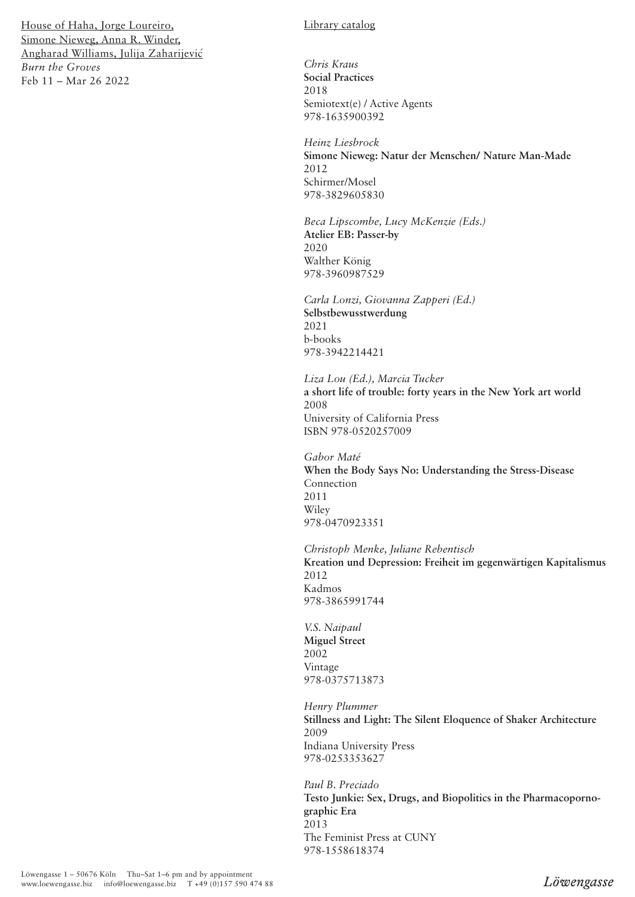# Library catalog

*Chris Kraus* **Social Practices**  2018 Semiotext(e) / Active Agents 978-1635900392

*Heinz Liesbrock* **Simone Nieweg: Natur der Menschen/ Nature Man-Made** 2012 Schirmer/Mosel 978-3829605830

*Beca Lipscombe, Lucy McKenzie (Eds.)* **Atelier EB: Passer-by** 2020 Walther König 978-3960987529

*Carla Lonzi, Giovanna Zapperi (Ed.)* **Selbstbewusstwerdung** 2021 b-books 978-3942214421

*Liza Lou (Ed.), Marcia Tucker* **a short life of trouble: forty years in the New York art world** 2008 University of California Press ISBN 978-0520257009

*Gabor Maté* **When the Body Says No: Understanding the Stress-Disease**  Connection 2011 Wiley 978-0470923351

*Christoph Menke, Juliane Rebentisch* **Kreation und Depression: Freiheit im gegenwärtigen Kapitalismus** 2012 Kadmos 978-3865991744

*V.S. Naipaul* **Miguel Street** 2002 Vintage 978-0375713873

*Henry Plummer* **Stillness and Light: The Silent Eloquence of Shaker Architecture** 2009 Indiana University Press 978-0253353627

*Paul B. Preciado* **Testo Junkie: Sex, Drugs, and Biopolitics in the Pharmacopornographic Era** 2013 The Feminist Press at CUNY 978-1558618374